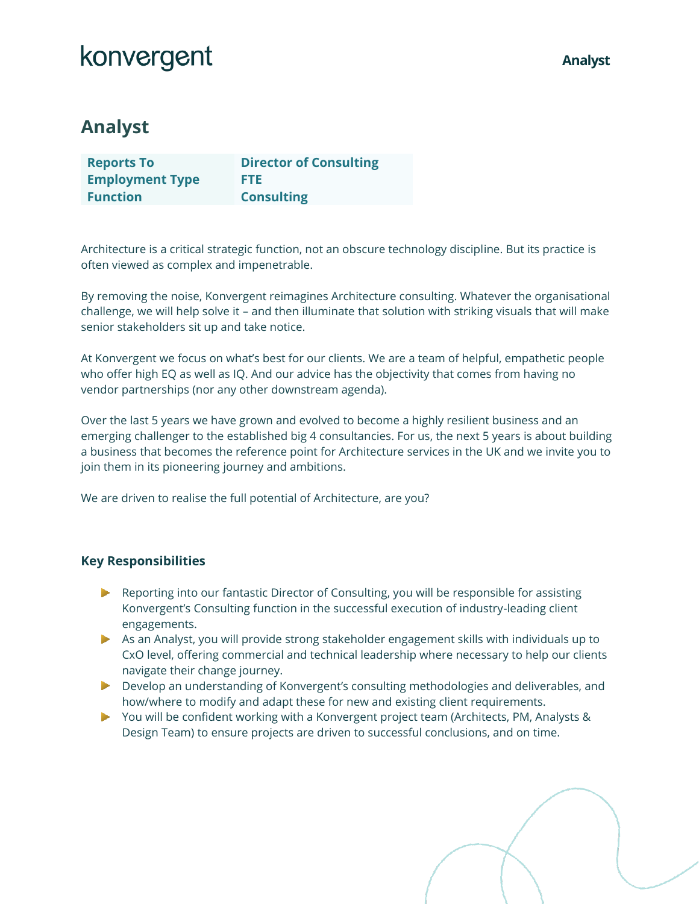## konvergent

### **Analyst**

| <b>Reports To</b>      | <b>Director of Consulting</b> |
|------------------------|-------------------------------|
| <b>Employment Type</b> | FTE.                          |
| <b>Function</b>        | <b>Consulting</b>             |

Architecture is a critical strategic function, not an obscure technology discipline. But its practice is often viewed as complex and impenetrable.

By removing the noise, Konvergent reimagines Architecture consulting. Whatever the organisational challenge, we will help solve it – and then illuminate that solution with striking visuals that will make senior stakeholders sit up and take notice.

At Konvergent we focus on what's best for our clients. We are a team of helpful, empathetic people who offer high EQ as well as IQ. And our advice has the objectivity that comes from having no vendor partnerships (nor any other downstream agenda).

Over the last 5 years we have grown and evolved to become a highly resilient business and an emerging challenger to the established big 4 consultancies. For us, the next 5 years is about building a business that becomes the reference point for Architecture services in the UK and we invite you to join them in its pioneering journey and ambitions.

We are driven to realise the full potential of Architecture, are you?

### **Key Responsibilities**

- $\blacktriangleright$  Reporting into our fantastic Director of Consulting, you will be responsible for assisting Konvergent's Consulting function in the successful execution of industry-leading client engagements.
- As an Analyst, you will provide strong stakeholder engagement skills with individuals up to CxO level, offering commercial and technical leadership where necessary to help our clients navigate their change journey.
- Develop an understanding of Konvergent's consulting methodologies and deliverables, and how/where to modify and adapt these for new and existing client requirements.
- You will be confident working with a Konvergent project team (Architects, PM, Analysts & Design Team) to ensure projects are driven to successful conclusions, and on time.